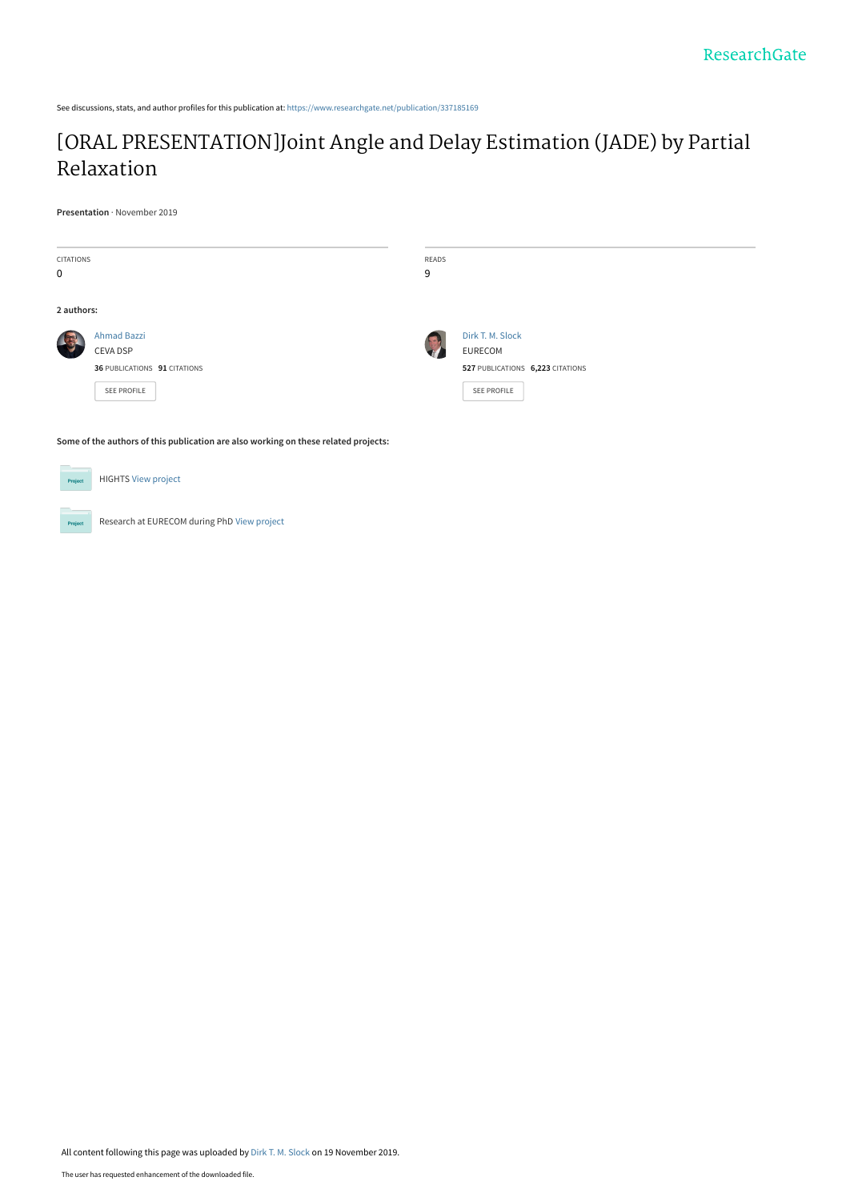See discussions, stats, and author profiles for this publication at: [https://www.researchgate.net/publication/337185169](https://www.researchgate.net/publication/337185169_ORAL_PRESENTATIONJoint_Angle_and_Delay_Estimation_JADE_by_Partial_Relaxation?enrichId=rgreq-7a53769b5aebc30a1fa7025ba99664bb-XXX&enrichSource=Y292ZXJQYWdlOzMzNzE4NTE2OTtBUzo4MjY5MTEzNjYzMTYwMzJAMTU3NDE2MjQ0MTI4Mg%3D%3D&el=1_x_2&_esc=publicationCoverPdf)

# [\[ORAL PRESENTATION\]Joint Angle and Delay Estimation \(JADE\) by Partial](https://www.researchgate.net/publication/337185169_ORAL_PRESENTATIONJoint_Angle_and_Delay_Estimation_JADE_by_Partial_Relaxation?enrichId=rgreq-7a53769b5aebc30a1fa7025ba99664bb-XXX&enrichSource=Y292ZXJQYWdlOzMzNzE4NTE2OTtBUzo4MjY5MTEzNjYzMTYwMzJAMTU3NDE2MjQ0MTI4Mg%3D%3D&el=1_x_3&_esc=publicationCoverPdf) Relaxation

**Presentation** · November 2019

| <b>CITATIONS</b><br>$\mathbf 0$                                                     |                              | READS<br>9 |                                  |
|-------------------------------------------------------------------------------------|------------------------------|------------|----------------------------------|
|                                                                                     |                              |            |                                  |
| 2 authors:                                                                          |                              |            |                                  |
|                                                                                     | <b>Ahmad Bazzi</b>           |            | Dirk T. M. Slock                 |
|                                                                                     | CEVA DSP                     |            | EURECOM                          |
|                                                                                     | 36 PUBLICATIONS 91 CITATIONS |            | 527 PUBLICATIONS 6,223 CITATIONS |
|                                                                                     | <b>SEE PROFILE</b>           |            | SEE PROFILE                      |
|                                                                                     |                              |            |                                  |
| Some of the authors of this publication are also working on these related projects: |                              |            |                                  |
|                                                                                     |                              |            |                                  |
| Project                                                                             | <b>HIGHTS View project</b>   |            |                                  |

Research at EURECOM during PhD [View project](https://www.researchgate.net/project/Research-at-EURECOM-during-PhD?enrichId=rgreq-7a53769b5aebc30a1fa7025ba99664bb-XXX&enrichSource=Y292ZXJQYWdlOzMzNzE4NTE2OTtBUzo4MjY5MTEzNjYzMTYwMzJAMTU3NDE2MjQ0MTI4Mg%3D%3D&el=1_x_9&_esc=publicationCoverPdf) Project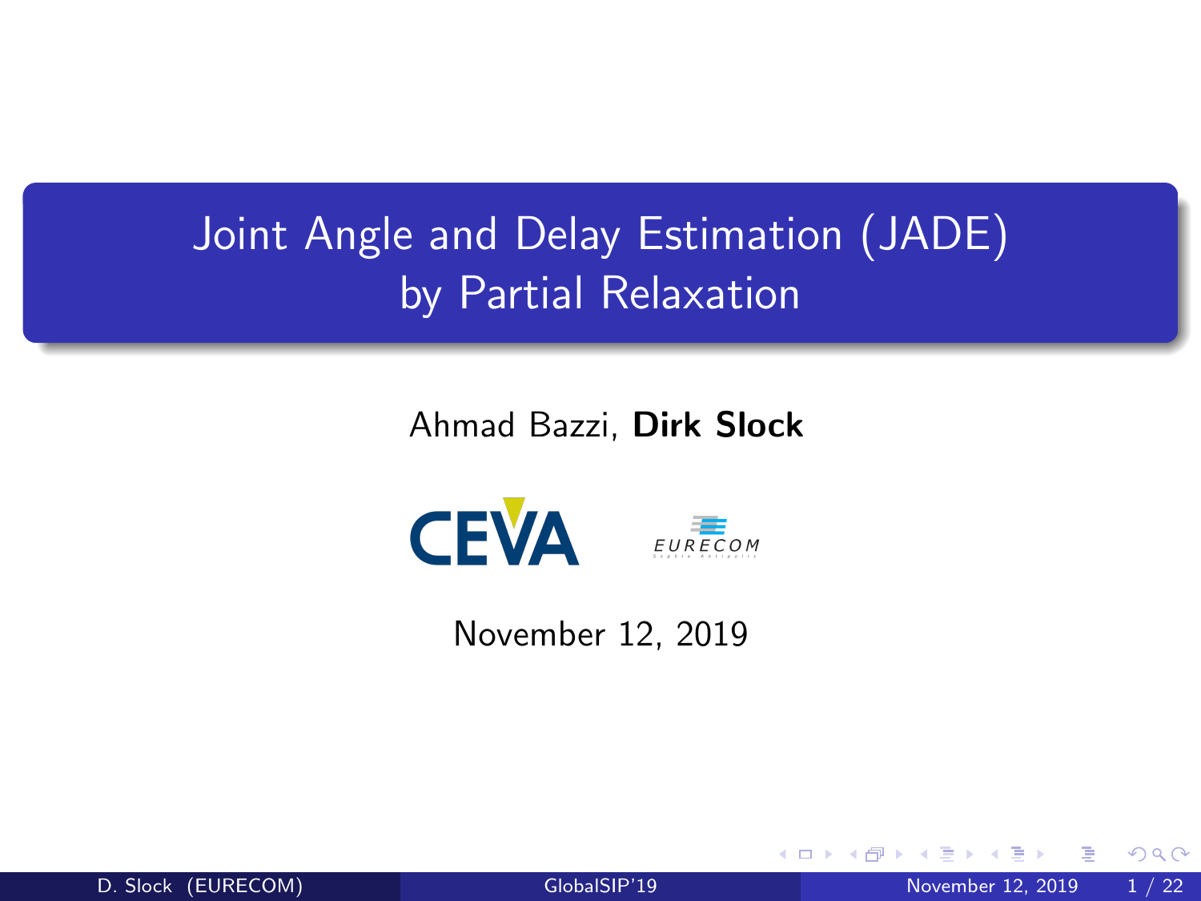# <span id="page-1-0"></span>Joint Angle and Delay Estimation (JADE) by Partial Relaxation

Ahmad Bazzi, Dirk Slock



November 12, 2019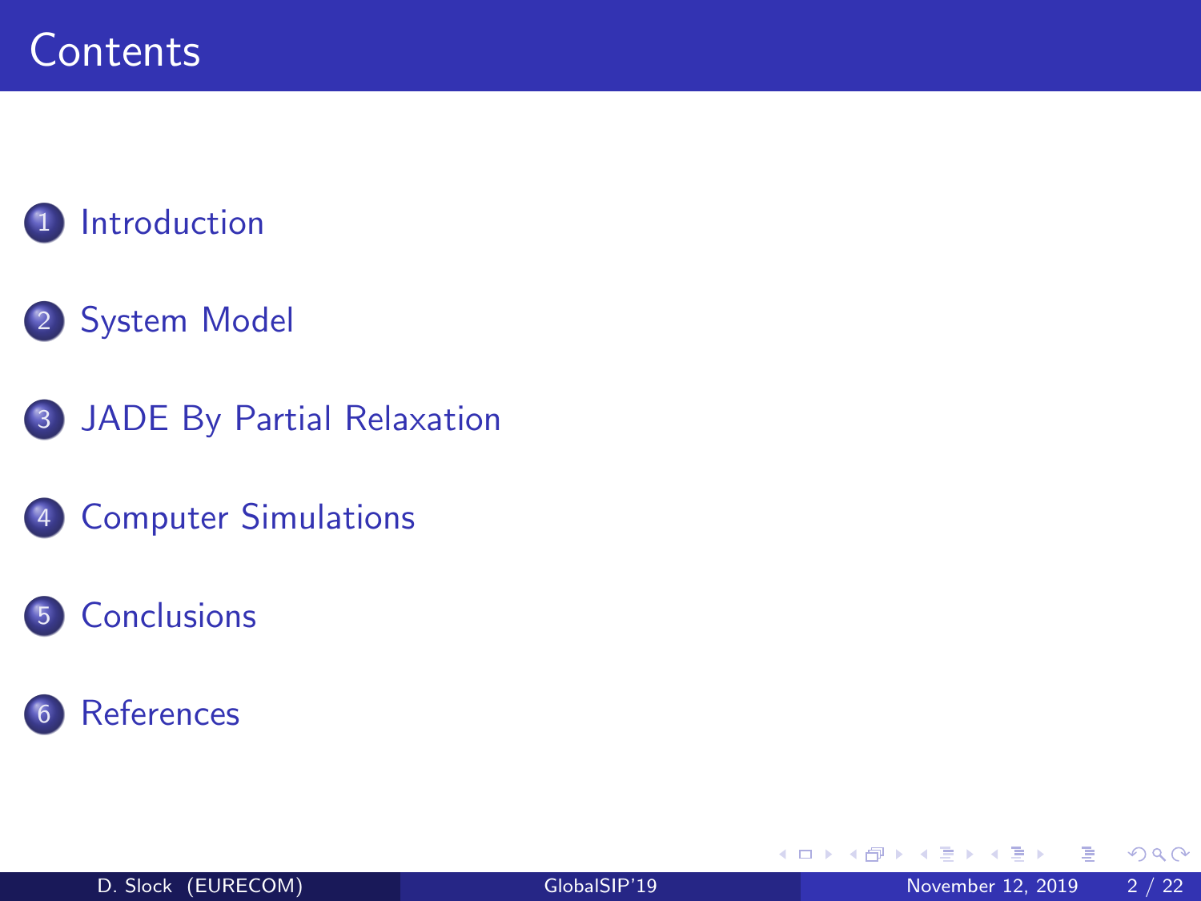## **[Introduction](#page-3-0)**

### [System Model](#page-5-0)

- [JADE By Partial Relaxation](#page-7-0)
- [Computer Simulations](#page-13-0)

#### [Conclusions](#page-19-0)





**D F** 

∍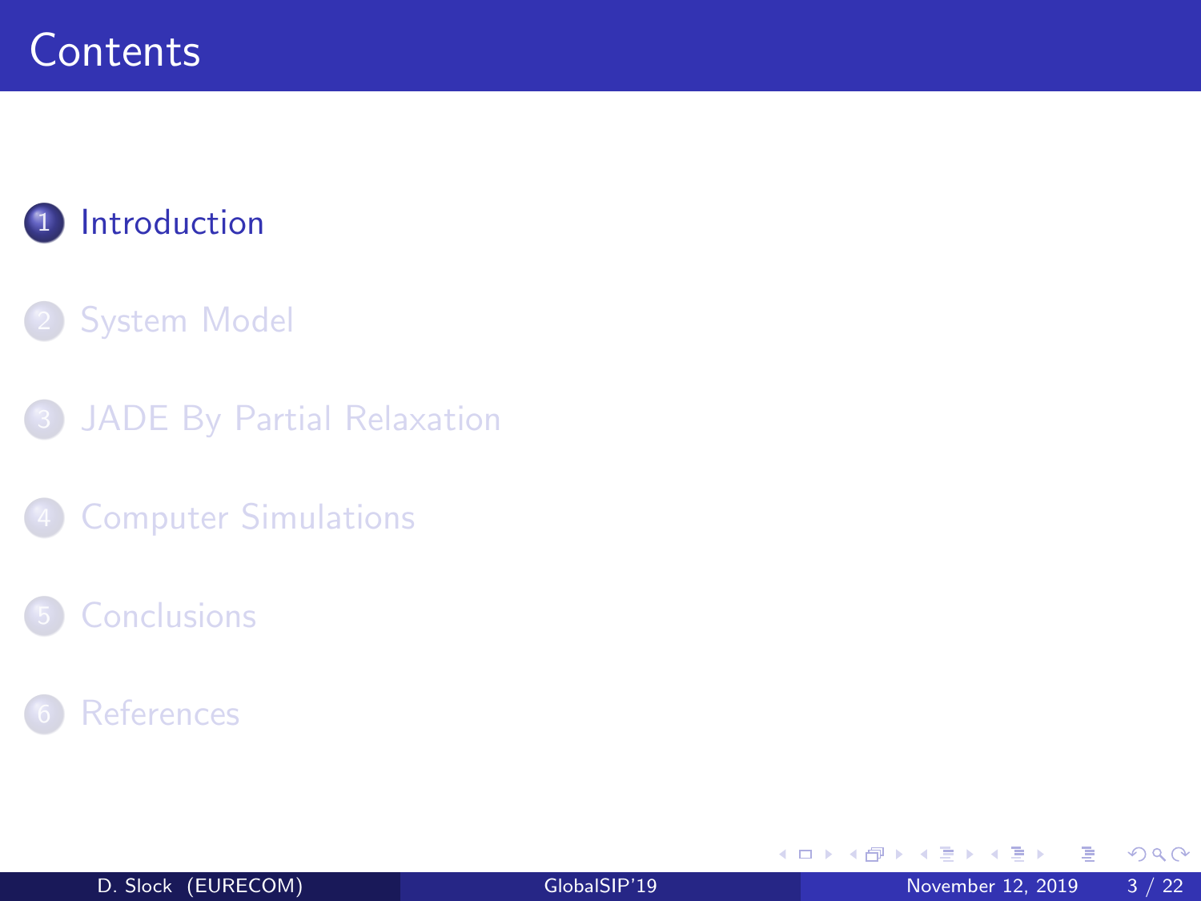## <span id="page-3-0"></span>1 [Introduction](#page-3-0)

#### **[System Model](#page-5-0)**

3 [JADE By Partial Relaxation](#page-7-0)

**[Computer Simulations](#page-13-0)** 

#### **[Conclusions](#page-19-0)**



э

 $\mathbf{d}$ E

イロト

- ← 冊 →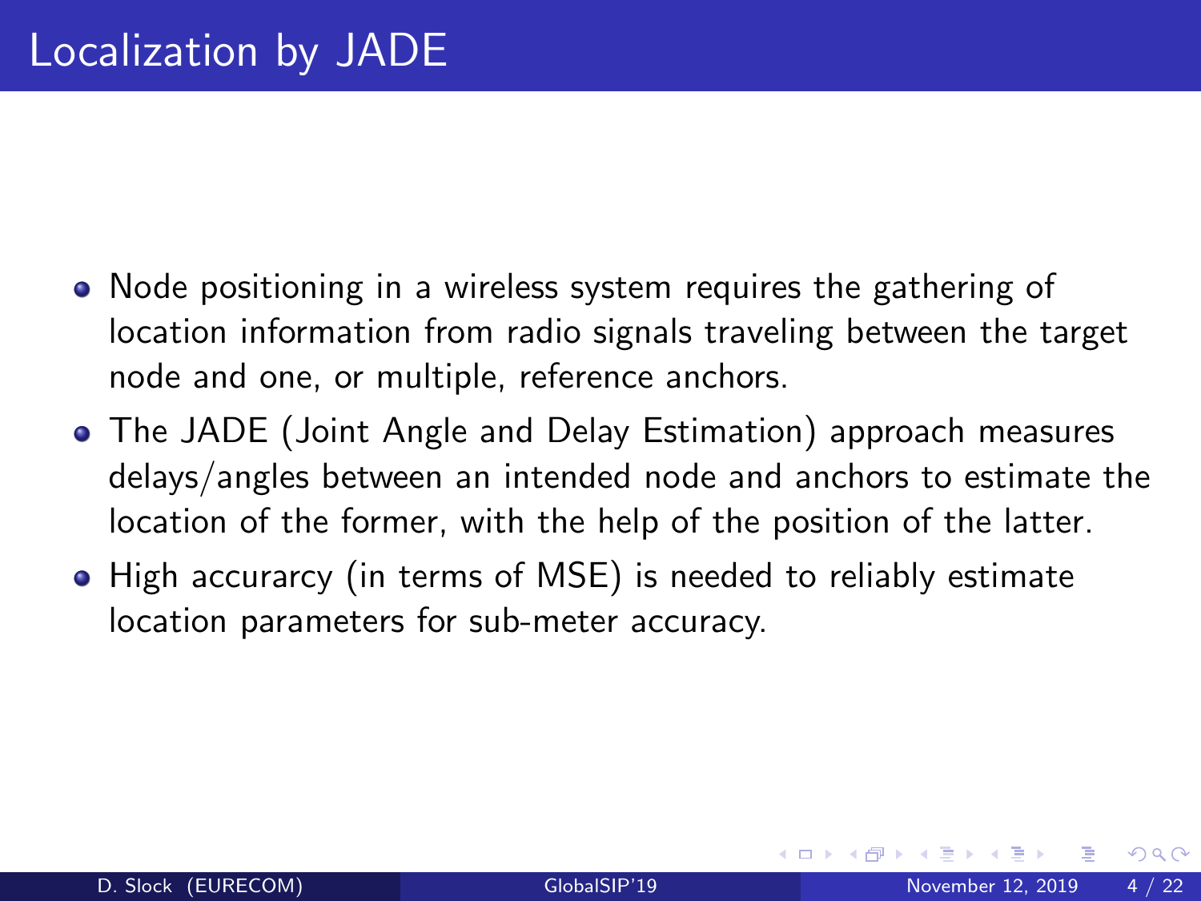- Node positioning in a wireless system requires the gathering of location information from radio signals traveling between the target node and one, or multiple, reference anchors.
- The JADE (Joint Angle and Delay Estimation) approach measures delays/angles between an intended node and anchors to estimate the location of the former, with the help of the position of the latter.
- High accurarcy (in terms of MSE) is needed to reliably estimate location parameters for sub-meter accuracy.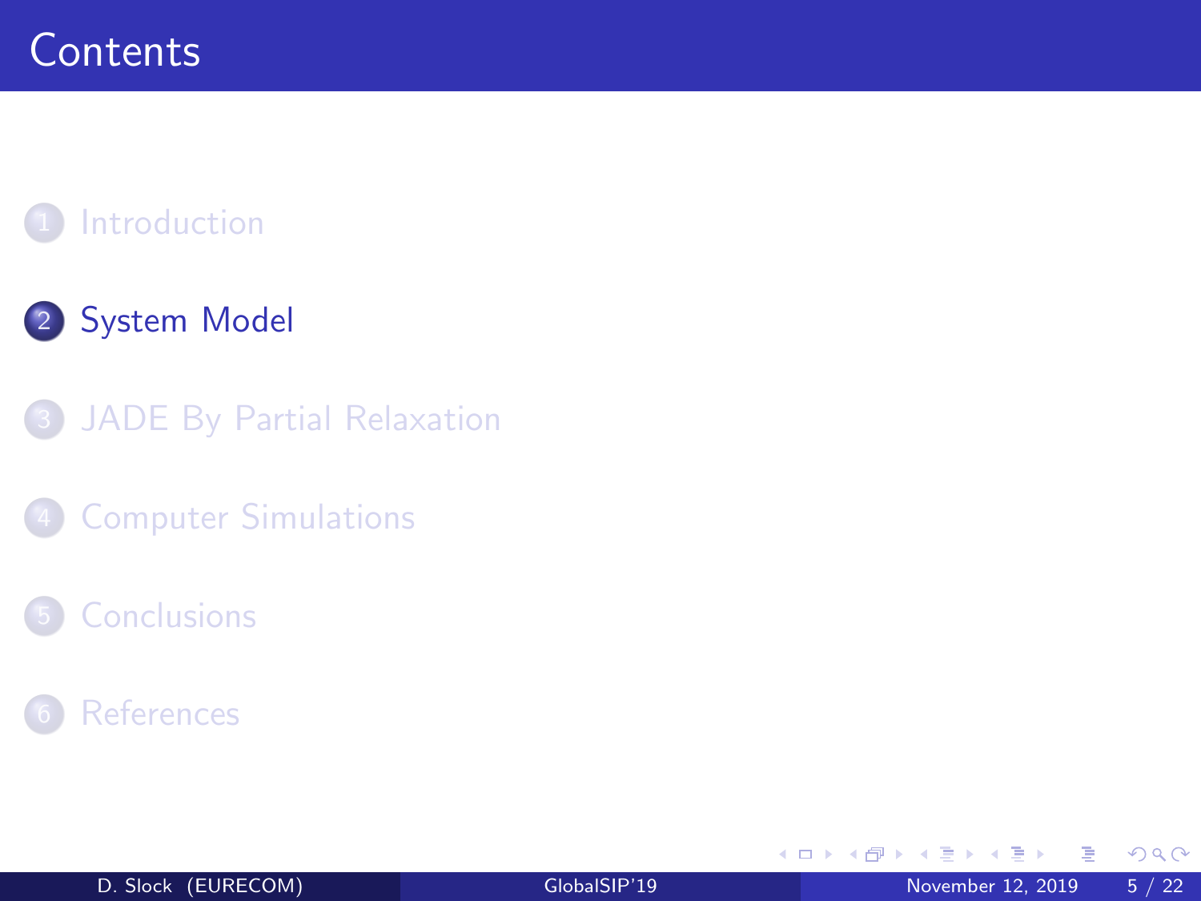### <span id="page-5-0"></span>**[Introduction](#page-3-0)**

## 2 [System Model](#page-5-0)

3 [JADE By Partial Relaxation](#page-7-0)

**[Computer Simulations](#page-13-0)** 

#### **[Conclusions](#page-19-0)**



Þ

B

 $\mathcal{A}$ 

イロト

- ← 冊 →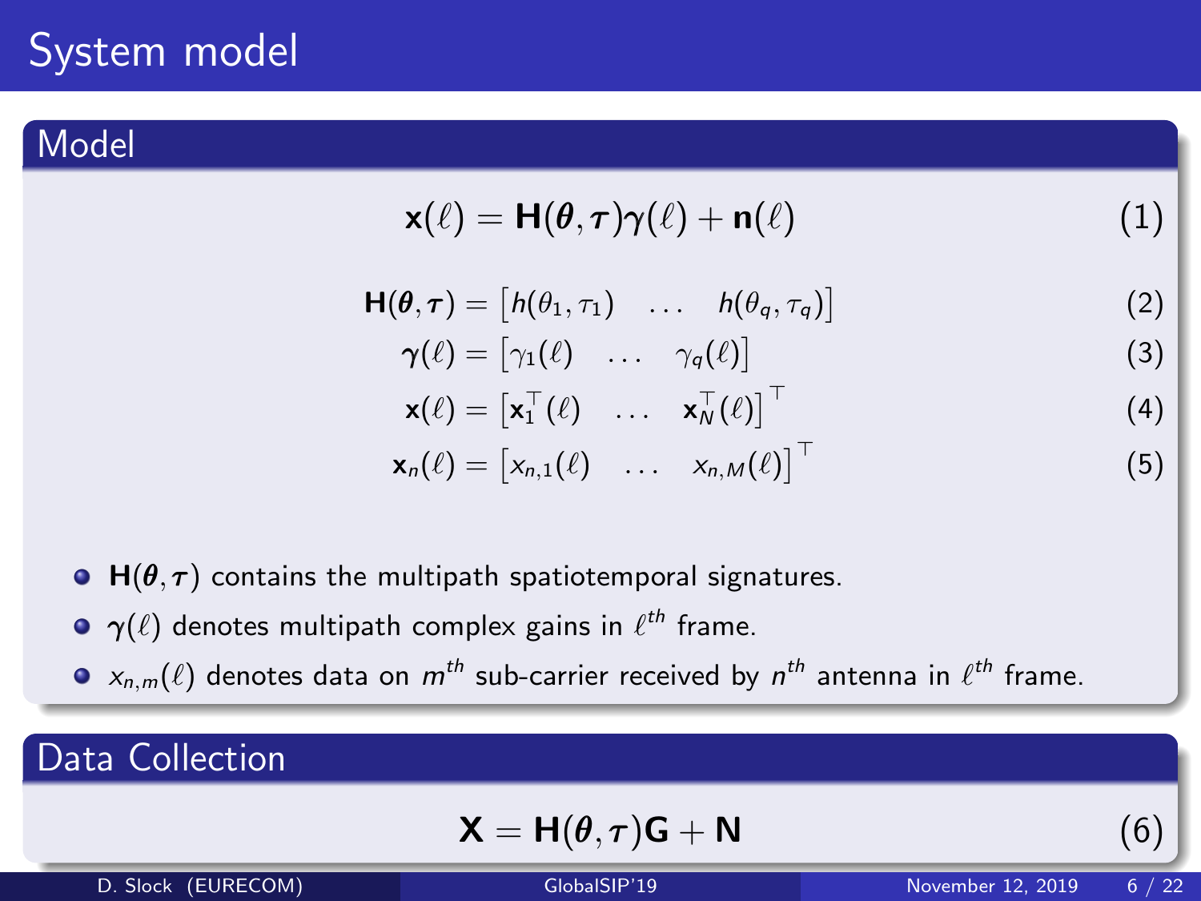#### Model

$$
\mathbf{x}(\ell) = \mathbf{H}(\boldsymbol{\theta}, \boldsymbol{\tau})\boldsymbol{\gamma}(\ell) + \mathbf{n}(\ell) \tag{1}
$$

$$
\mathbf{H}(\boldsymbol{\theta},\boldsymbol{\tau})=\begin{bmatrix}h(\theta_1,\tau_1)&\ldots&h(\theta_q,\tau_q)\end{bmatrix}
$$
\n(2)

$$
\boldsymbol{\gamma}(\ell) = \begin{bmatrix} \gamma_1(\ell) & \dots & \gamma_q(\ell) \end{bmatrix} \tag{3}
$$

$$
\mathbf{x}(\ell) = \begin{bmatrix} \mathbf{x}_1^{\top}(\ell) & \dots & \mathbf{x}_N^{\top}(\ell) \end{bmatrix}^{\top}
$$
  
\n
$$
\mathbf{x}_n(\ell) = \begin{bmatrix} x_{n,1}(\ell) & \dots & x_{n,M}(\ell) \end{bmatrix}^{\top}
$$
 (5)

• 
$$
H(\theta, \tau)
$$
 contains the multipath spatiotemporal signatures.

- $\boldsymbol \gamma(\ell)$  denotes multipath complex gains in  $\ell^{th}$  frame.
- $\mathsf{x}_{n,m}(\ell)$  denotes data on  $m^{th}$  sub-carrier received by  $n^{th}$  antenna in  $\ell^{th}$  frame.

### Data Collection

$$
\mathbf{X} = \mathbf{H}(\boldsymbol{\theta}, \boldsymbol{\tau})\mathbf{G} + \mathbf{N} \tag{6}
$$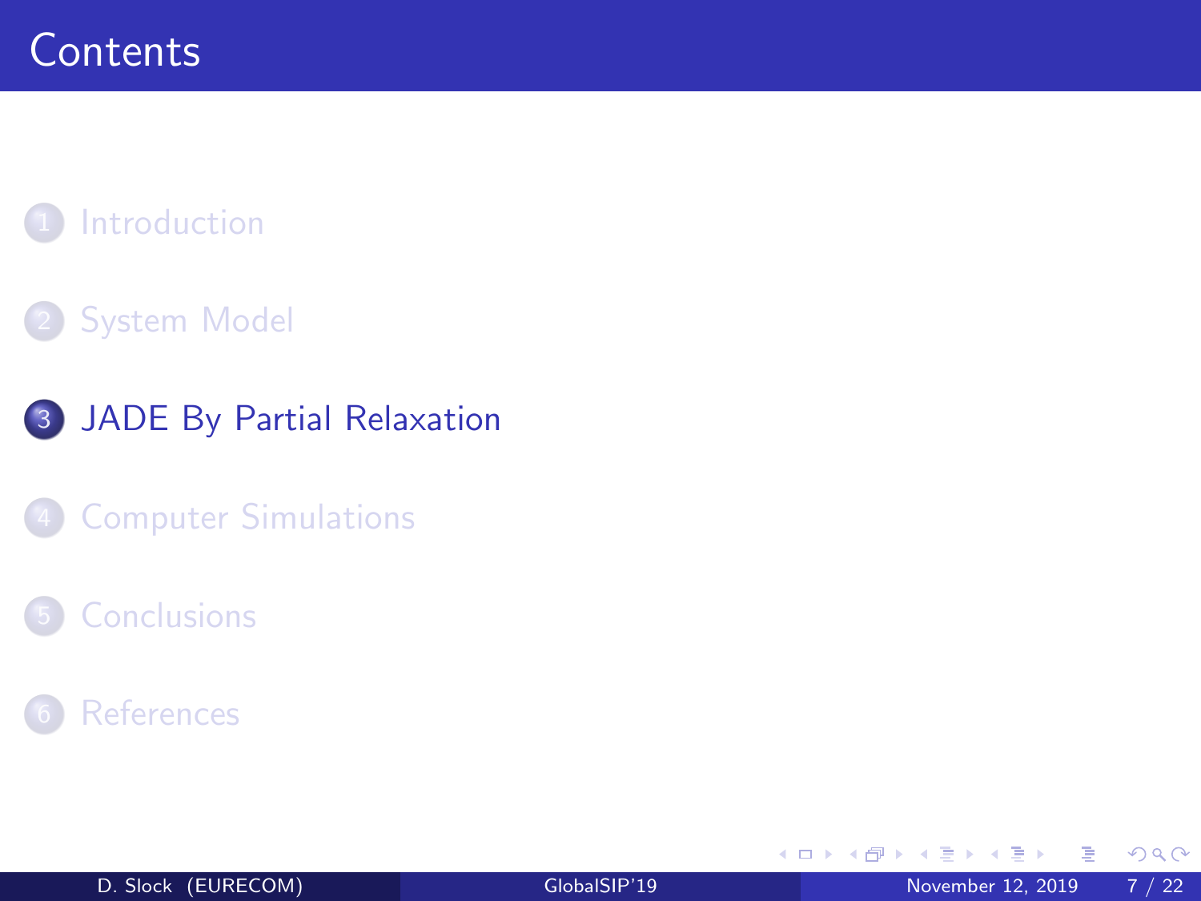### <span id="page-7-0"></span>**[Introduction](#page-3-0)**

#### **[System Model](#page-5-0)**

3 [JADE By Partial Relaxation](#page-7-0)

**[Computer Simulations](#page-13-0)** 

#### **[Conclusions](#page-19-0)**



Þ

B

4 **D F** 

∢母→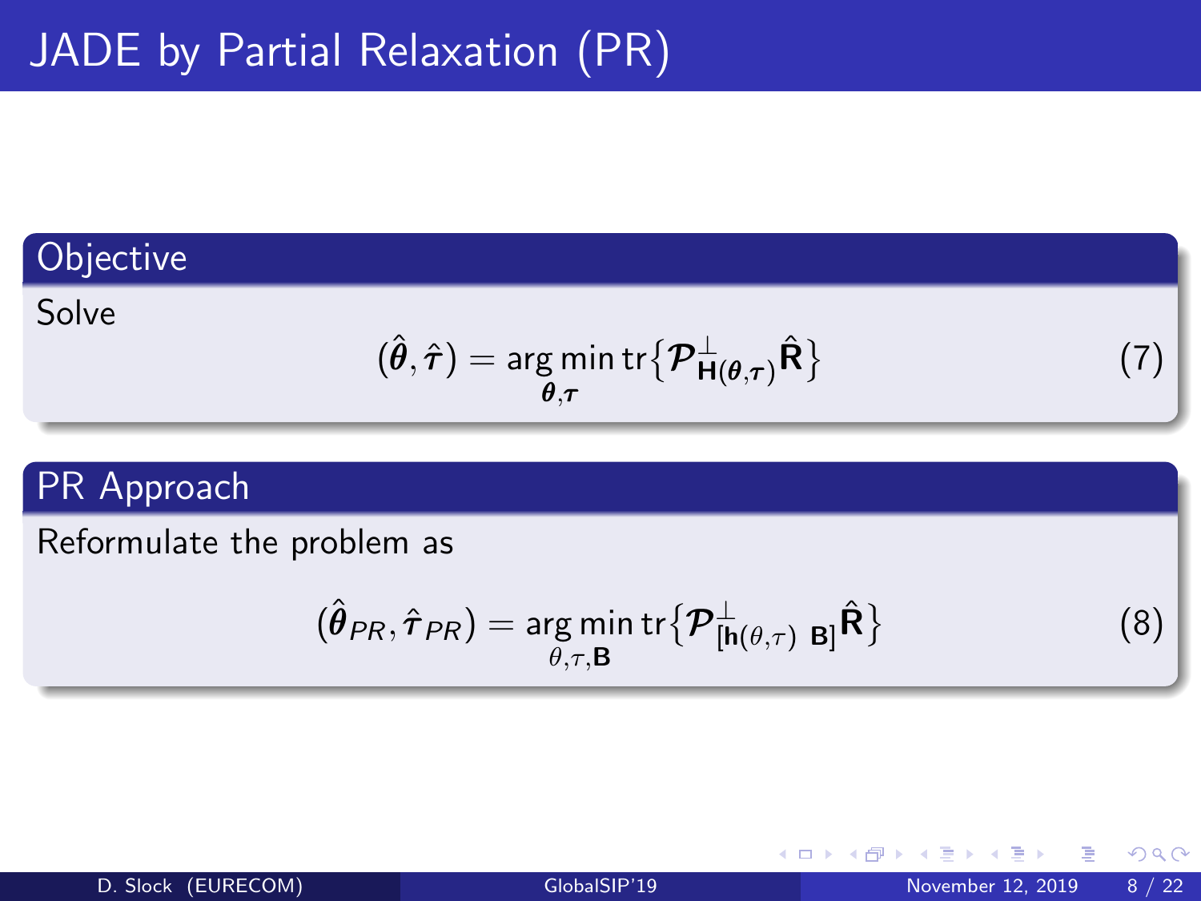#### **Objective**

#### Solve

$$
(\hat{\boldsymbol{\theta}}, \hat{\boldsymbol{\tau}}) = \underset{\boldsymbol{\theta}, \boldsymbol{\tau}}{\arg \min} \operatorname{tr} \{ \boldsymbol{\mathcal{P}}_{\mathbf{H}(\boldsymbol{\theta}, \boldsymbol{\tau})}^{\perp} \hat{\mathbf{R}} \} \tag{7}
$$

4 **D F** 

#### PR Approach

Reformulate the problem as

$$
(\hat{\pmb{\theta}}_{PR},\hat{\pmb{\tau}}_{PR})=\argmin_{\theta,\tau,\mathbf{B}}\text{tr}\big\{\boldsymbol{\mathcal{P}}_{[\mathbf{h}(\theta,\tau)\;\;\mathbf{B}]}^\perp\hat{\mathbf{R}}\big\}
$$

造

(8)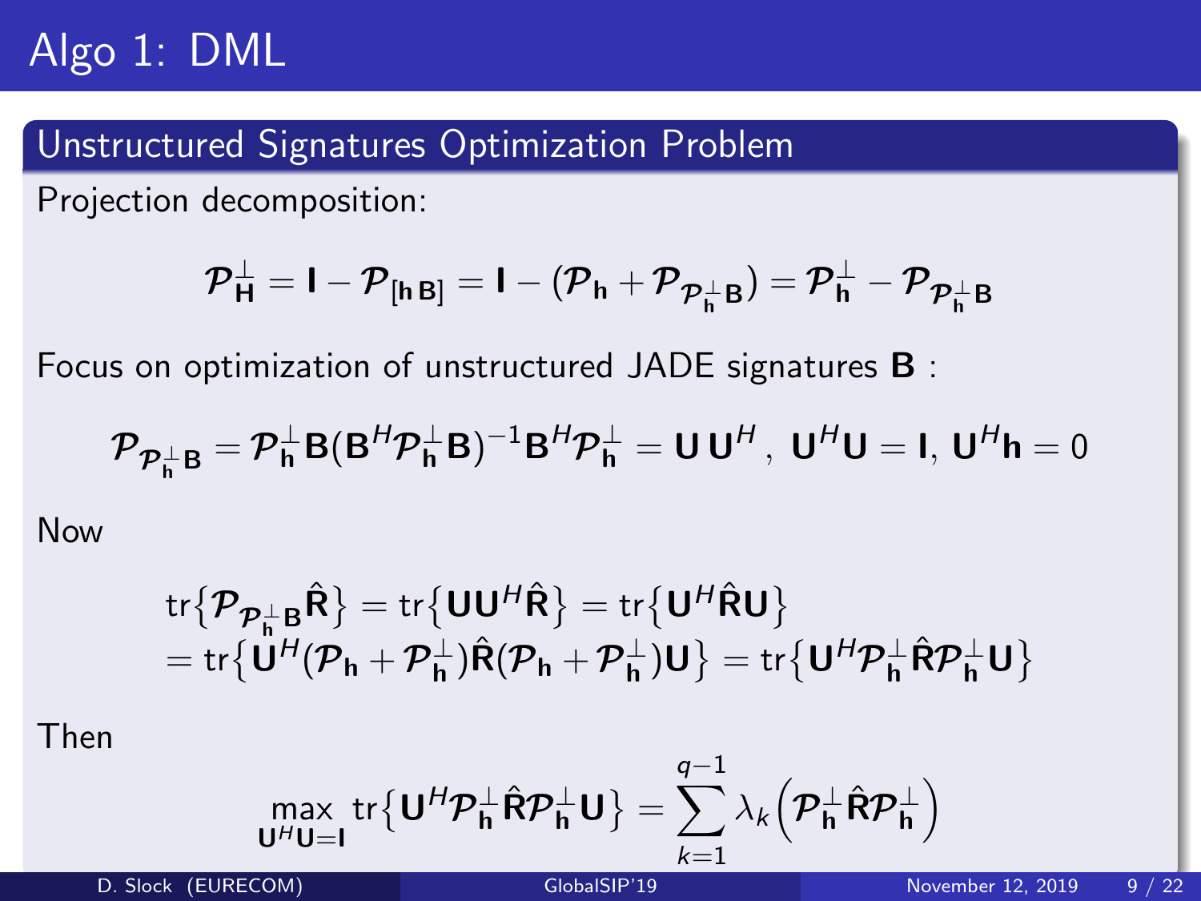# Algo 1: DML

#### Unstructured Signatures Optimization Problem

Projection decomposition:

$$
{\mathcal{P}}_{\mathsf{H}}^\perp = \mathsf{I} - {\mathcal{P}}_{[{\mathsf{h}}\,\mathsf{B}]} = \mathsf{I} - ({\mathcal{P}}_{\mathsf{h}} + {\mathcal{P}}_{{\mathcal{P}}_{\mathsf{h}}^\perp \mathsf{B}}) = {\mathcal{P}}_{\mathsf{h}}^\perp - {\mathcal{P}}_{{\mathcal{P}}_{\mathsf{h}}^\perp \mathsf{B}}
$$

Focus on optimization of unstructured JADE signatures B :

$$
\mathcal{P}_{\mathcal{P}_{\mathsf{h}}^{\perp} \mathsf{B}} = \mathcal{P}_{\mathsf{h}}^{\perp} \mathsf{B} (\mathsf{B}^H \mathcal{P}_{\mathsf{h}}^{\perp} \mathsf{B})^{-1} \mathsf{B}^H \mathcal{P}_{\mathsf{h}}^{\perp} = \mathsf{U} \mathsf{U}^H, \ \mathsf{U}^H \mathsf{U} = \mathsf{I}, \ \mathsf{U}^H \mathsf{h} = 0
$$

Now

$$
\begin{array}{l}\mathop{ \rm tr} \bigl\{ \boldsymbol{\mathcal{P}_{\mathcal{P}_h^\perp} B}} \hat{\boldsymbol{R}} \bigr\} = \mathop{ \rm tr} \bigl\{ \boldsymbol{U} \boldsymbol{U}^{\mathcal{H}} \hat{\boldsymbol{R}} \bigr\} = \mathop{ \rm tr} \bigl\{ \boldsymbol{U}^{\mathcal{H}} \hat{\boldsymbol{R}} \boldsymbol{U} \bigr\} \\ = \mathop{ \rm tr} \bigl\{ \boldsymbol{U}^{\mathcal{H}} (\boldsymbol{\mathcal{P}_h} + \boldsymbol{\mathcal{P}_h^\perp} ) \hat{\boldsymbol{R}} (\boldsymbol{\mathcal{P}_h} + \boldsymbol{\mathcal{P}_h^\perp} ) \boldsymbol{U} \bigr\} = \mathop{ \rm tr} \bigl\{ \boldsymbol{U}^{\mathcal{H}} \boldsymbol{\mathcal{P}_h^\perp} \hat{\boldsymbol{R}} \boldsymbol{\mathcal{P}_h^\perp} \boldsymbol{U} \bigr\} \end{array}
$$

Then

$$
\max_{\mathbf{U}^H\mathbf{U}=\mathbf{I}} \text{tr}\big\{\mathbf{U}^H\boldsymbol{\mathcal{P}}_{\mathbf{h}}^\perp\hat{\mathbf{R}}\boldsymbol{\mathcal{P}}_{\mathbf{h}}^\perp\mathbf{U}\big\} = \sum_{k=1}^{q-1} \lambda_k \Big(\boldsymbol{\mathcal{P}}_{\mathbf{h}}^\perp\hat{\mathbf{R}}\boldsymbol{\mathcal{P}}_{\mathbf{h}}^\perp\Big)
$$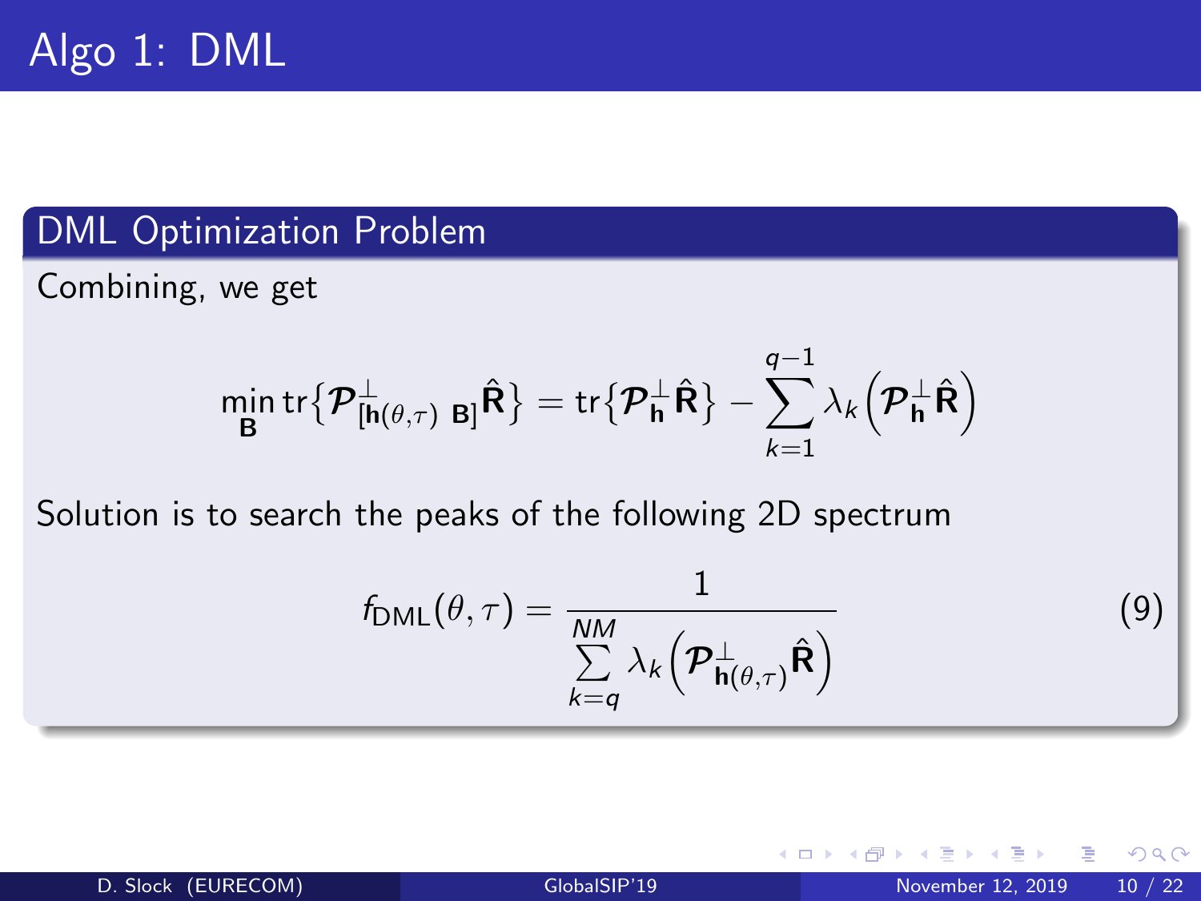#### DML Optimization Problem

Combining, we get

$$
\min_{\mathbf{B}} \text{tr} \big\{ \boldsymbol{\mathcal{P}}_{\left[\mathbf{h}\left(\boldsymbol{\theta},\boldsymbol{\tau}\right) \mid \mathbf{B}\right]}^{\perp} \hat{\mathbf{R}} \big\} = \text{tr} \big\{ \boldsymbol{\mathcal{P}}_{\mathbf{h}}^{\perp} \hat{\mathbf{R}} \big\} - \sum_{k=1}^{q-1} \lambda_k \big\{ \boldsymbol{\mathcal{P}}_{\mathbf{h}}^{\perp} \hat{\mathbf{R}} \big\}
$$

Solution is to search the peaks of the following 2D spectrum

$$
f_{\text{DML}}(\theta, \tau) = \frac{1}{\sum_{k=q}^{NM} \lambda_k \left(\mathcal{P}_{\mathbf{h}(\theta, \tau)}^{\perp} \hat{\mathbf{R}}\right)}
$$
(9)

4 0 8

э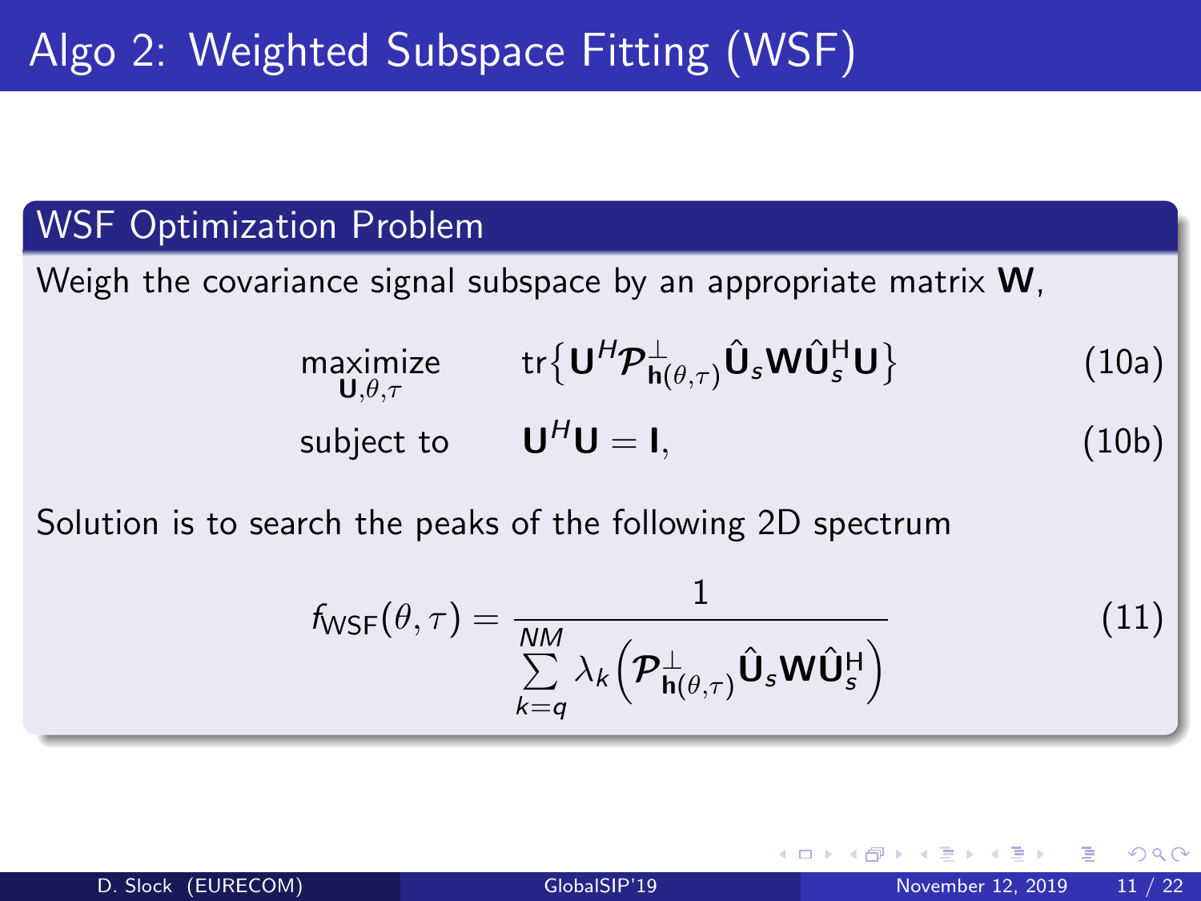#### WSF Optimization Problem

Weigh the covariance signal subspace by an appropriate matrix W,

$$
\begin{array}{ll}\n\mathsf{maximize} & \mathsf{tr}\{\mathbf{U}^H \mathcal{P}_{\mathbf{h}(\theta,\tau)}^{\perp} \hat{\mathbf{U}}_s \mathbf{W} \hat{\mathbf{U}}_s^H \mathbf{U}\} \\
\text{subject to} & \mathbf{U}^H \mathbf{U} = \mathbf{I},\n\end{array} \tag{10a}
$$

Solution is to search the peaks of the following 2D spectrum

$$
f_{\text{WSF}}(\theta, \tau) = \frac{1}{\sum_{k=q}^{NM} \lambda_k \left( \mathcal{P}_{\mathbf{h}(\theta, \tau)}^{\perp} \hat{\mathbf{U}}_s \mathbf{W} \hat{\mathbf{U}}_s^{\mathsf{H}} \right)}
$$
(11)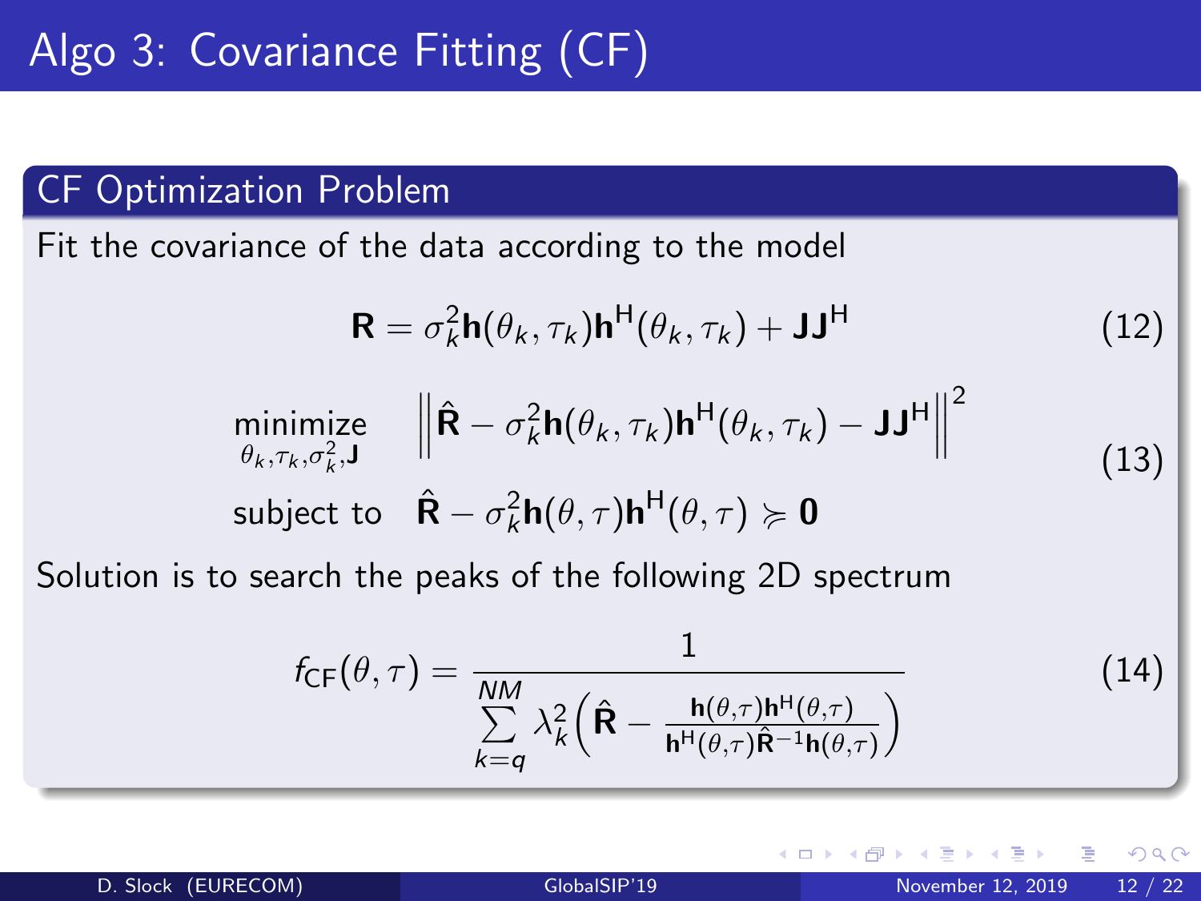#### CF Optimization Problem

Fit the covariance of the data according to the model

$$
\mathbf{R} = \sigma_k^2 \mathbf{h}(\theta_k, \tau_k) \mathbf{h}^{\mathsf{H}}(\theta_k, \tau_k) + \mathbf{J} \mathbf{J}^{\mathsf{H}}
$$
 (12)

$$
\begin{array}{ll}\n\text{minimize} & \left\| \hat{\mathbf{R}} - \sigma_k^2 \mathbf{h}(\theta_k, \tau_k) \mathbf{h}^{\mathsf{H}}(\theta_k, \tau_k) - \mathbf{J} \mathbf{J}^{\mathsf{H}} \right\|^2 \\
\text{subject to} & \hat{\mathbf{R}} - \sigma_k^2 \mathbf{h}(\theta, \tau) \mathbf{h}^{\mathsf{H}}(\theta, \tau) \succcurlyeq \mathbf{0}\n\end{array} \tag{13}
$$

Solution is to search the peaks of the following 2D spectrum

$$
f_{\text{CF}}(\theta,\tau) = \frac{1}{\sum_{k=q}^{NM} \lambda_k^2 \left(\hat{\mathbf{R}} - \frac{\mathbf{h}(\theta,\tau)\mathbf{h}^{\text{H}}(\theta,\tau)}{\mathbf{h}^{\text{H}}(\theta,\tau)\hat{\mathbf{R}}^{-1}\mathbf{h}(\theta,\tau)}\right)}
$$
(14)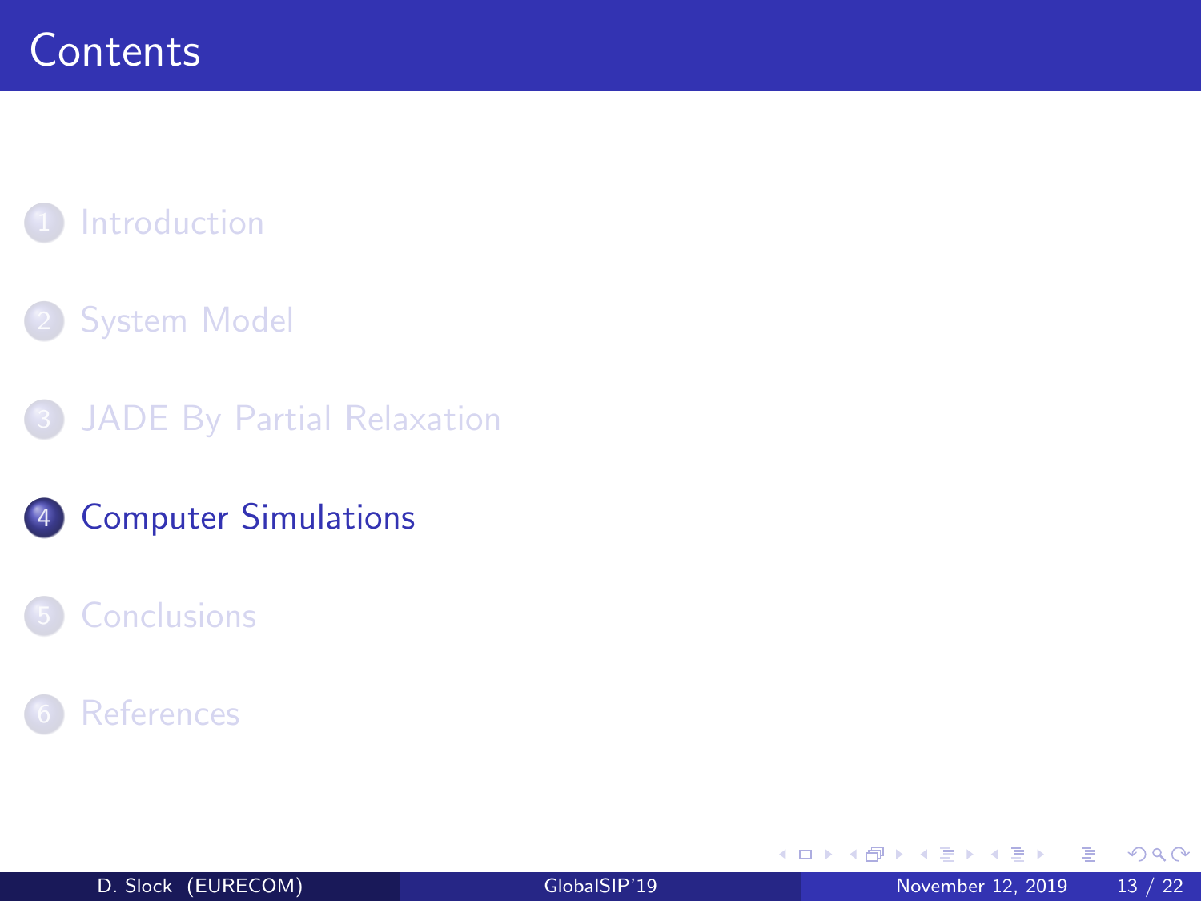## <span id="page-13-0"></span>**[Introduction](#page-3-0)**

### **[System Model](#page-5-0)**

- 3 [JADE By Partial Relaxation](#page-7-0)
- 4 [Computer Simulations](#page-13-0)

#### **[Conclusions](#page-19-0)**

#### **[References](#page-21-0)**

4 **D F** 

в

Þ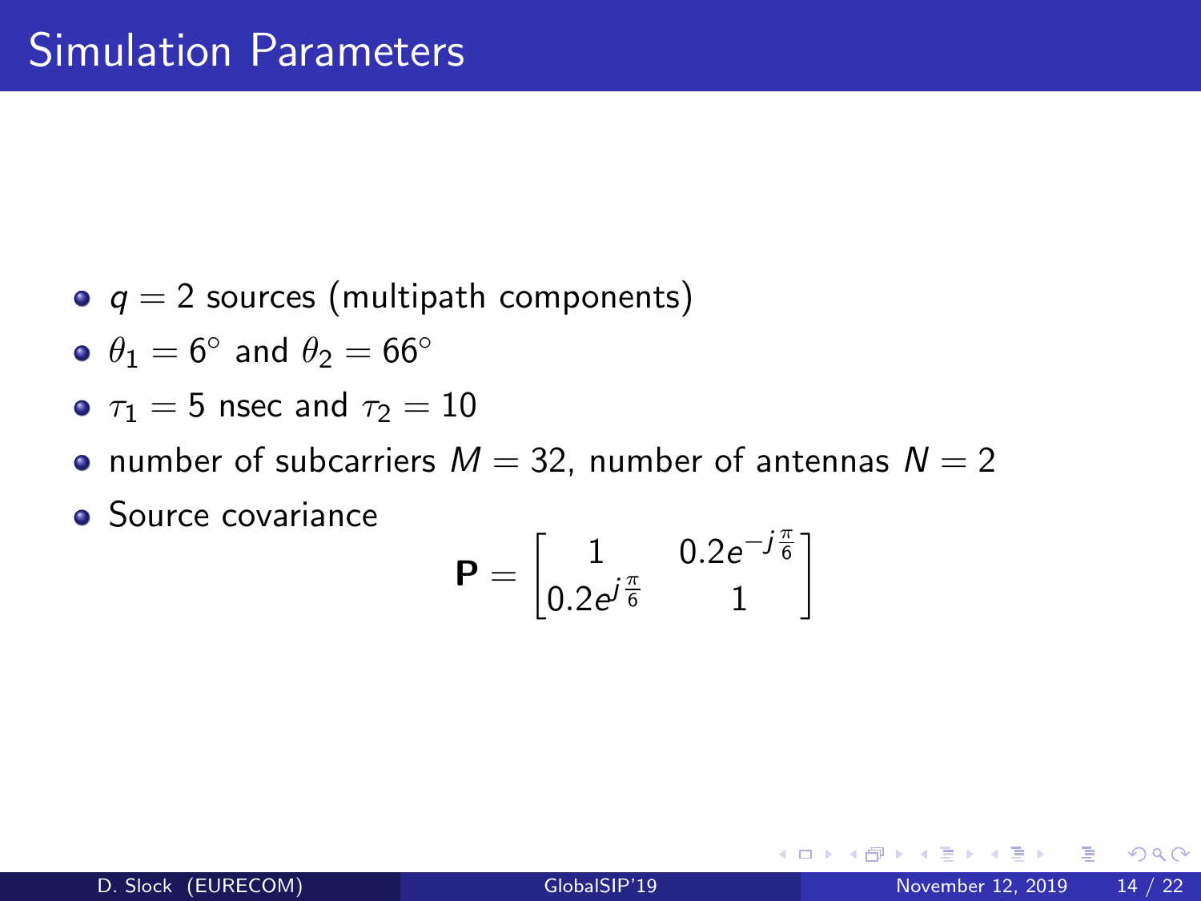- $q = 2$  sources (multipath components)
- $\theta_1 = 6^{\circ}$  and  $\theta_2 = 66^{\circ}$
- $\tau_1 = 5$  nsec and  $\tau_2 = 10$
- number of subcarriers  $M = 32$ , number of antennas  $N = 2$
- **•** Source covariance

$$
\textbf{P} = \begin{bmatrix} 1 & 0.2e^{-j\frac{\pi}{6}} \\ 0.2e^{j\frac{\pi}{6}} & 1 \end{bmatrix}
$$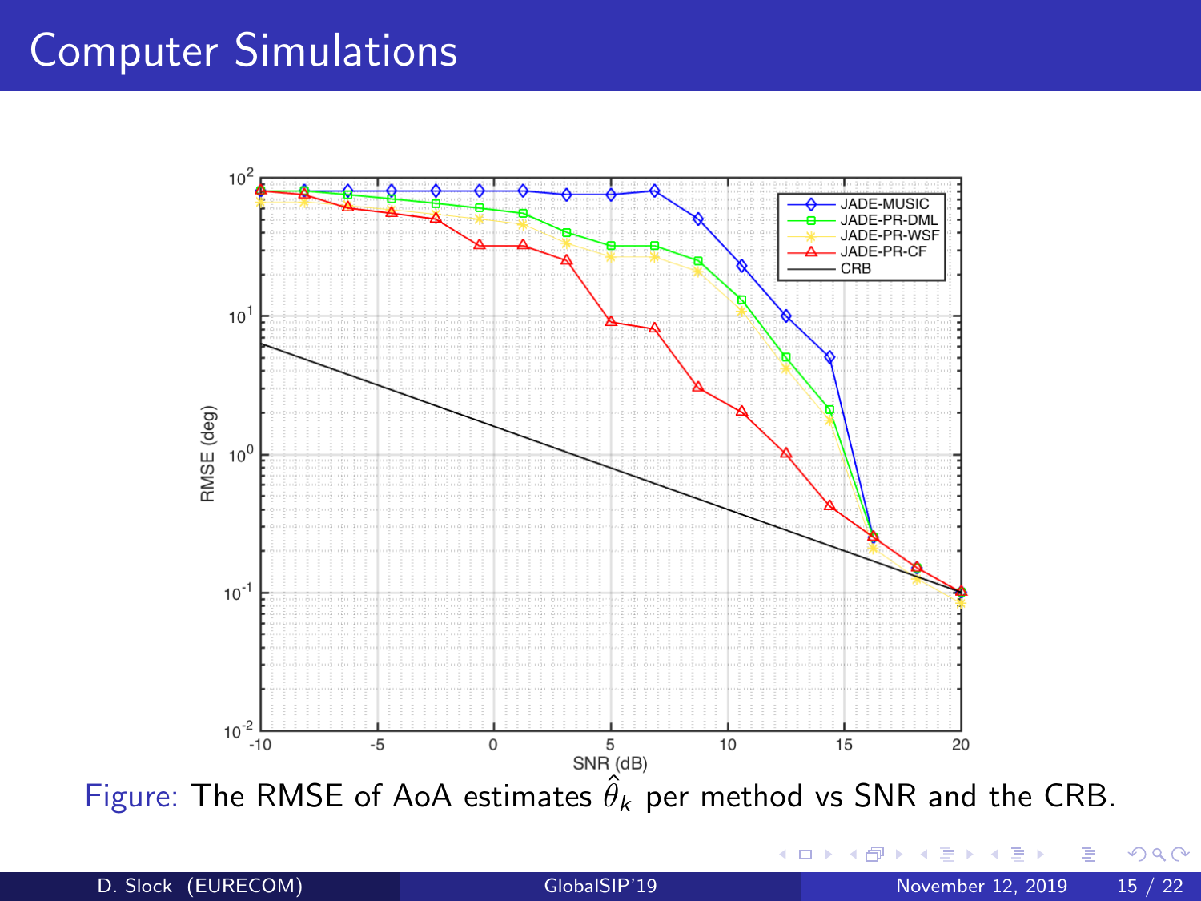

D. Slock (EURECOM) [GlobalSIP'19](#page-1-0) November 12, 2019 15 / 22

4 0 8

 $2Q$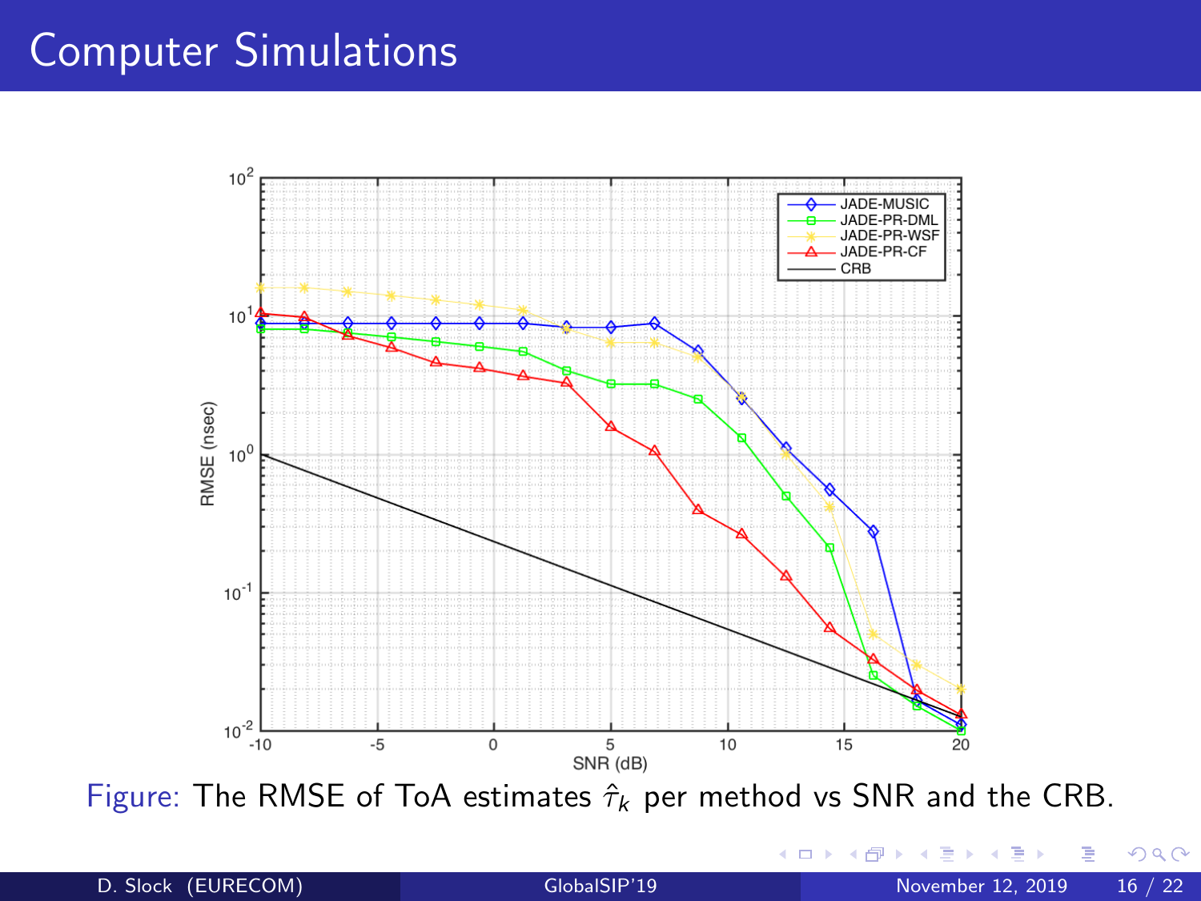

Figure: The RMSE of ToA estimates  $\hat{\tau}_k$  per method vs SNR and the CRB.

4 **D F** 

D. Slock (EURECOM) [GlobalSIP'19](#page-1-0) November 12, 2019 16 / 22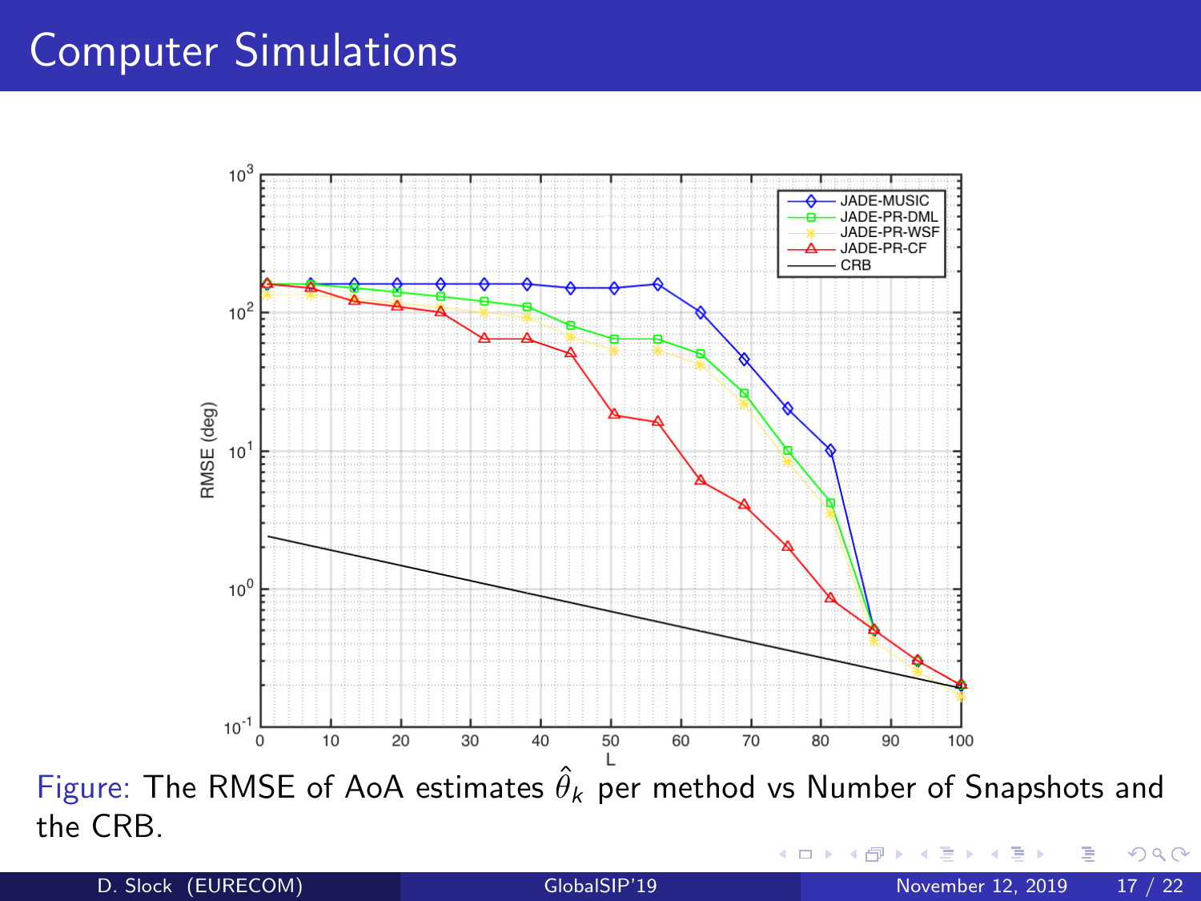

Figure: The RMSE of AoA estimates  $\hat{\theta}_k$  per method vs Number of Snapshots and the CRB.  $2Q$ 

D. Slock (EURECOM) [GlobalSIP'19](#page-1-0) November 12, 2019 17 / 22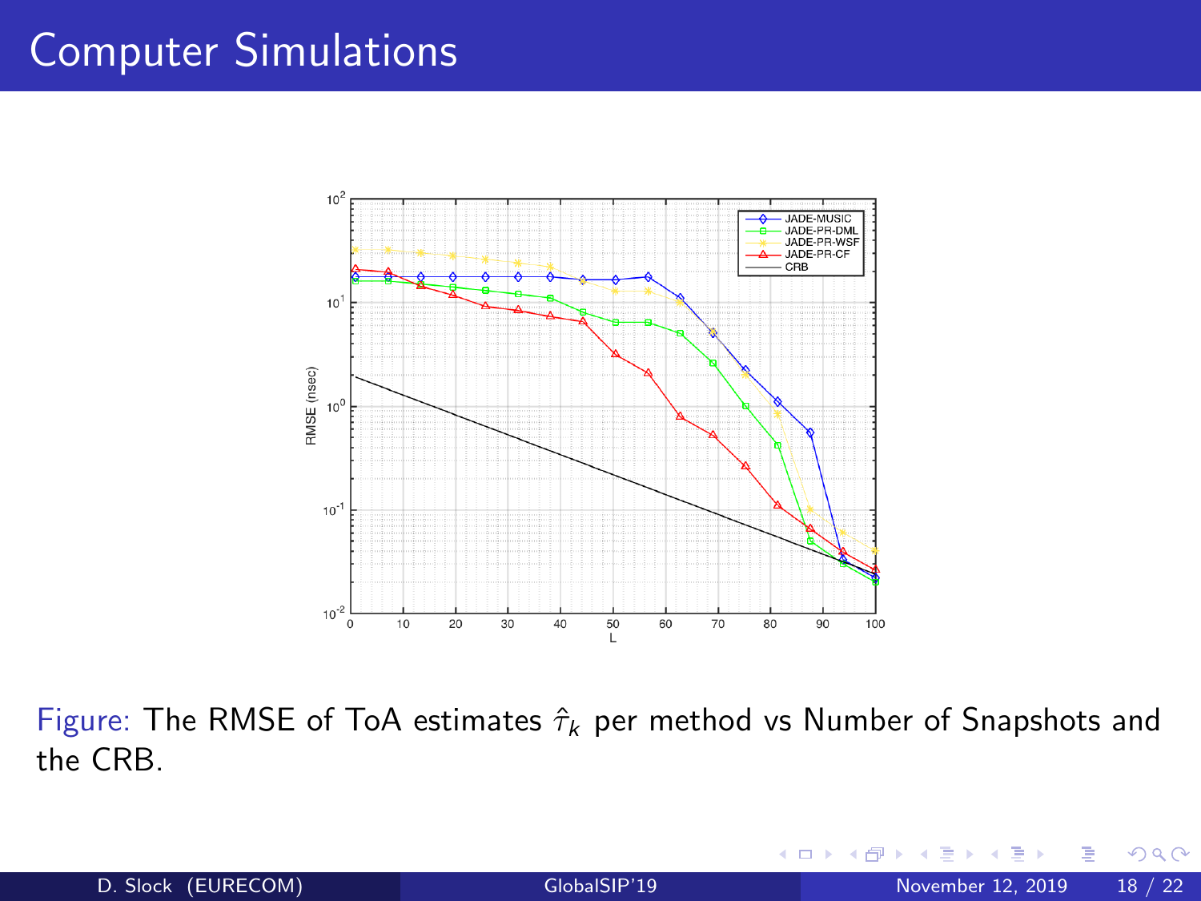

Figure: The RMSE of ToA estimates  $\hat{\tau}_k$  per method vs Number of Snapshots and the CRB.

4 0 8

 $QQ$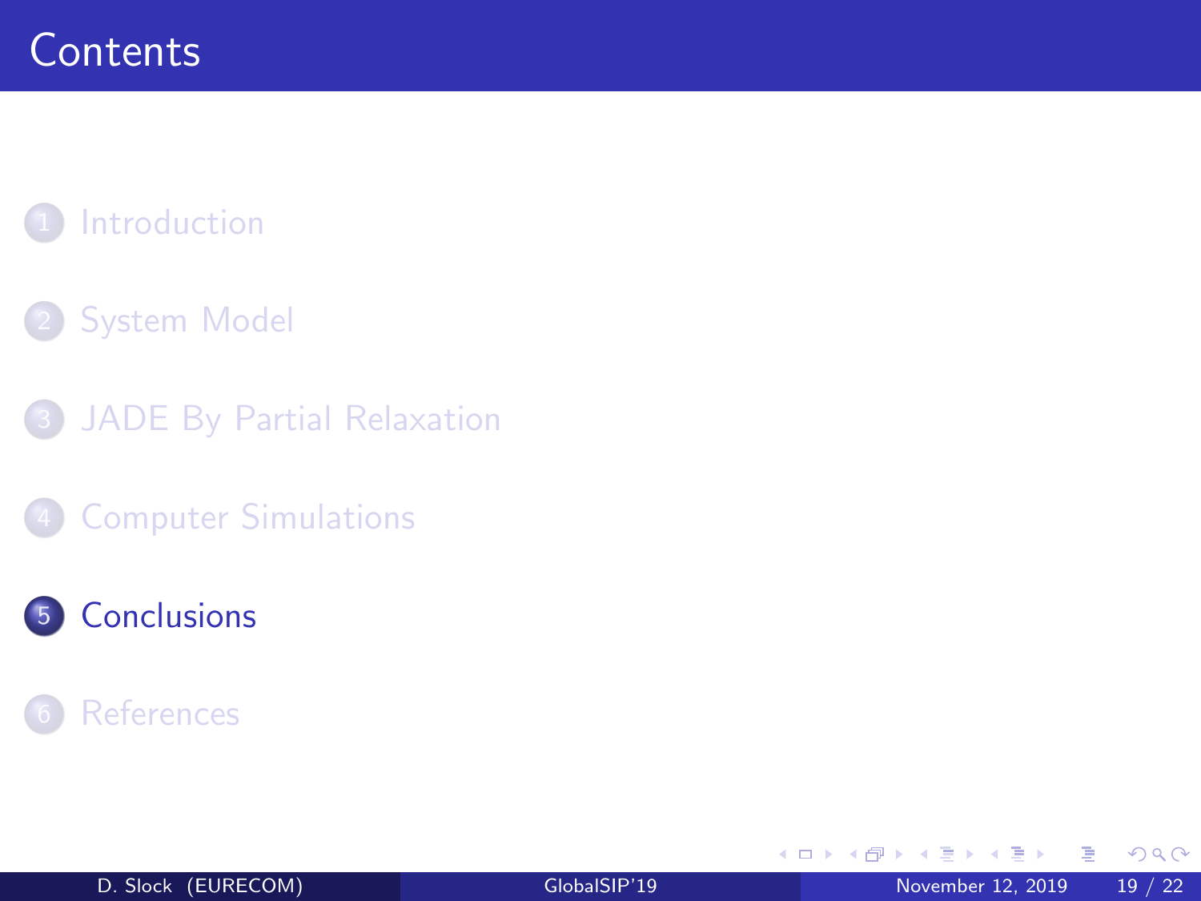## <span id="page-19-0"></span>**[Introduction](#page-3-0)**

### **[System Model](#page-5-0)**

- 3 [JADE By Partial Relaxation](#page-7-0)
	- **[Computer Simulations](#page-13-0)**

### 5 [Conclusions](#page-19-0)

#### **[References](#page-21-0)**

э

B

 $\mathcal{A}$ 

4 **D F**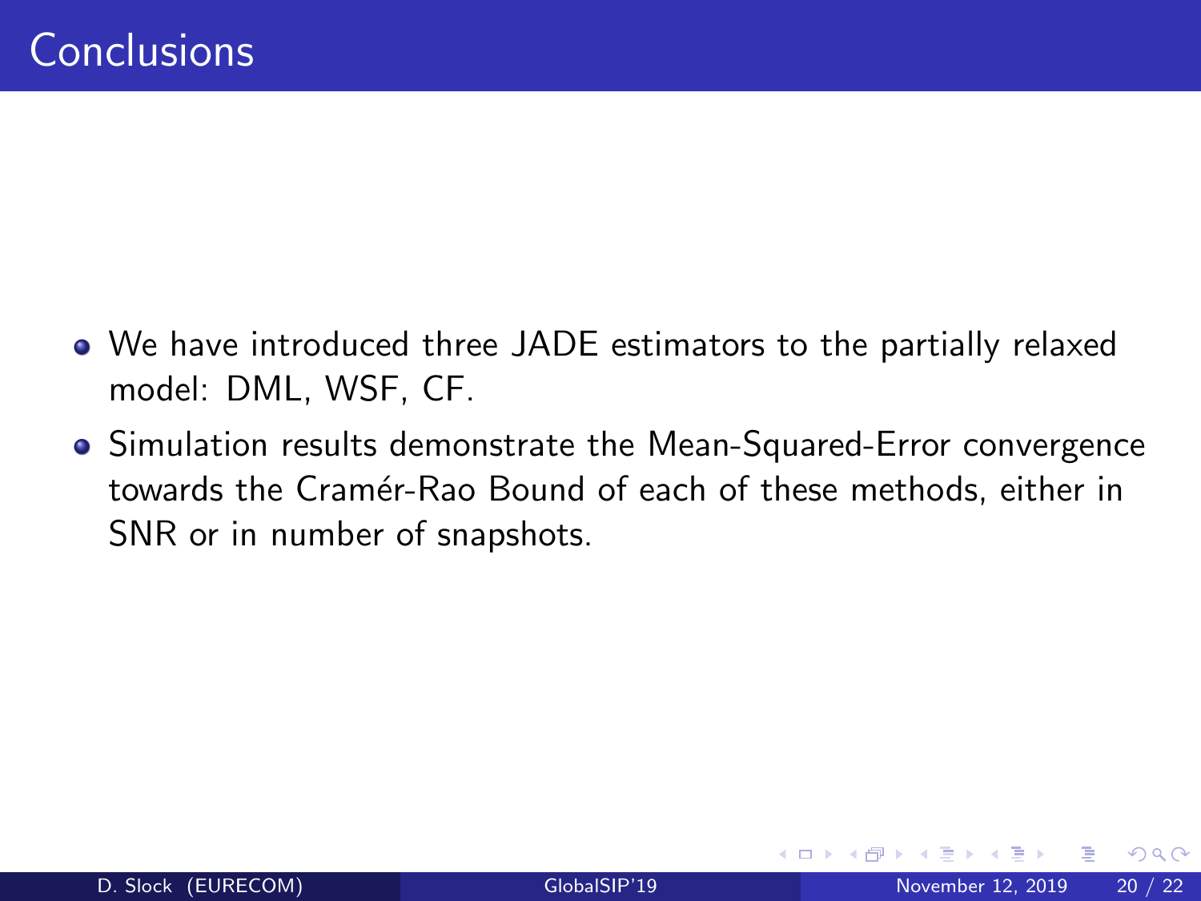- We have introduced three JADE estimators to the partially relaxed model: DML, WSF, CF.
- Simulation results demonstrate the Mean-Squared-Error convergence towards the Cramér-Rao Bound of each of these methods, either in SNR or in number of snapshots.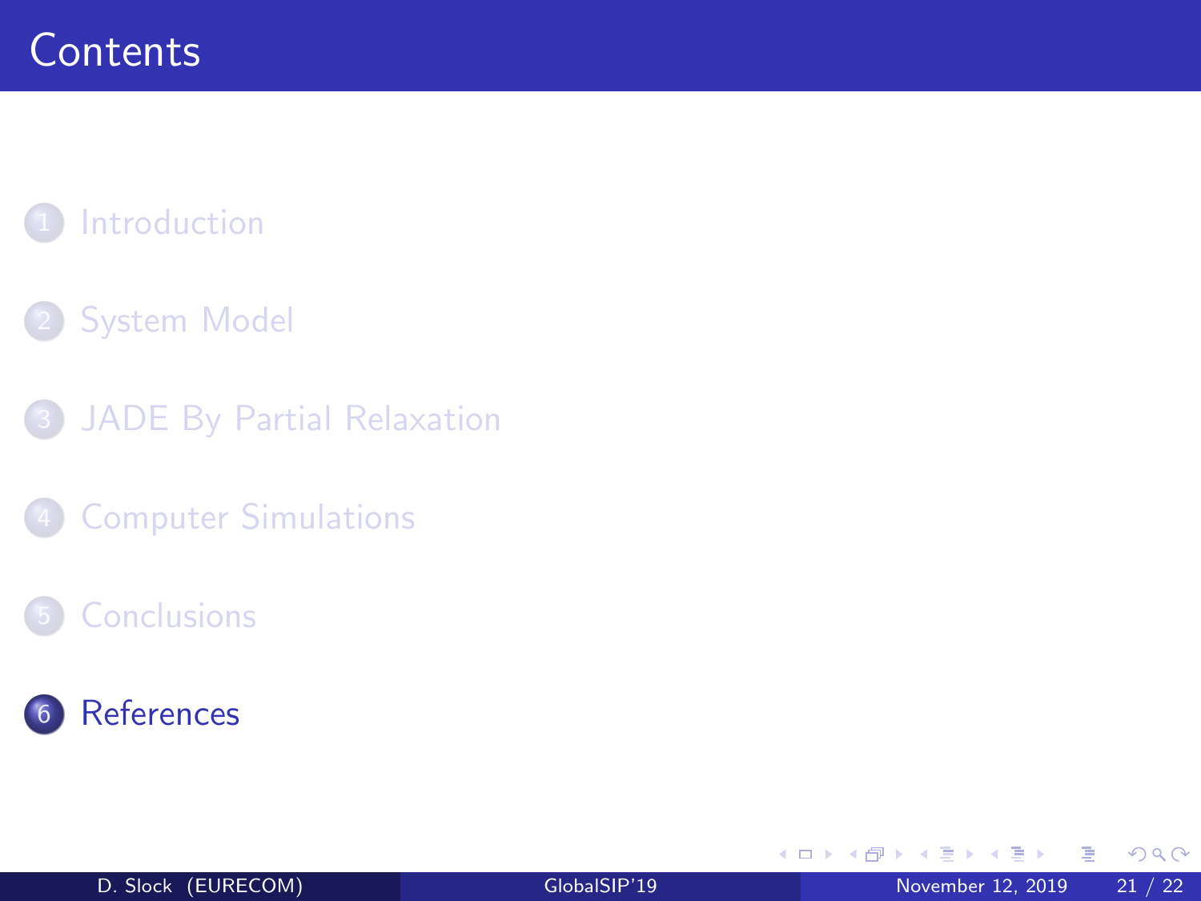## <span id="page-21-0"></span>**[Introduction](#page-3-0)**

### **[System Model](#page-5-0)**

- 3 [JADE By Partial Relaxation](#page-7-0)
	- **[Computer Simulations](#page-13-0)**

#### **[Conclusions](#page-19-0)**



Þ

B

14.1

4 **D F** ∢母